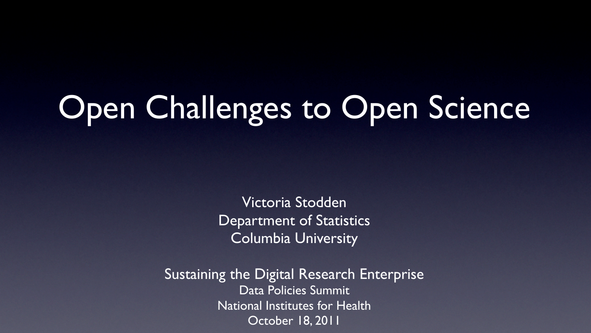### Open Challenges to Open Science

Victoria Stodden Department of Statistics Columbia University

[Sustaining the Digital Research Enterprise](http://scholcomm.columbia.edu/2011/09/22/expert-panel-to-discuss-data-management-and-federal-funding/2011/08/12/data-management-and-federal-funding-what-researchers-need-to-know) [Data Policies Summit](http://scholcomm.columbia.edu/2011/09/22/expert-panel-to-discuss-data-management-and-federal-funding/) National Institutes for Health October 18, 2011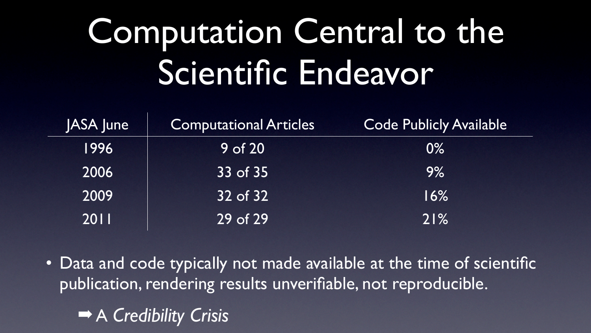### Computation Central to the Scientific Endeavor

| <b>JASA June</b> | <b>Computational Articles</b> | <b>Code Publicly</b> |
|------------------|-------------------------------|----------------------|
| 1996             | 9 of 20                       | $0\%$                |
| 2006             | 33 of 35                      | 9%                   |
| 2009             | 32 of 32                      | 16%                  |
| 2011             | 29 of 29                      | 21%                  |

• Data and code typically not made available at the time of scientific publication, rendering results unverifiable, not reproducible.

➡ A *Credibility Crisis*

rticles Code Publicly Available

| 0%  |
|-----|
| 9%  |
| 16% |
| 21% |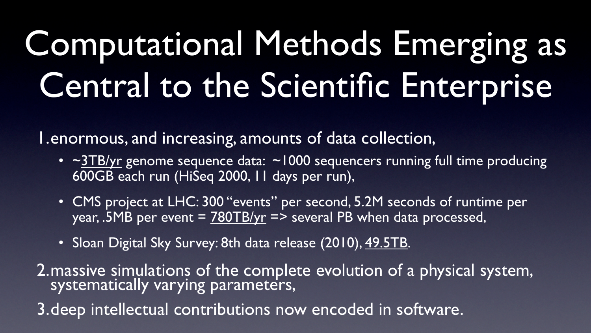### Computational Methods Emerging as Central to the Scientific Enterprise

1.enormous, and increasing, amounts of data collection,

- 600GB each run (HiSeq 2000, 11 days per run),
- 
- Sloan Digital Sky Survey: 8th data release (2010), 49.5TB.

• CMS project at LHC: 300 "events" per second, 5.2M seconds of runtime per year, .5MB per event = 780TB/yr => several PB when data processed,



2.massive simulations of the complete evolution of a physical system, systematically varying parameters, 3.deep intellectual contributions now encoded in software.

•  $\sim$  3TB/yr genome sequence data:  $\sim$  1000 sequencers running full time producing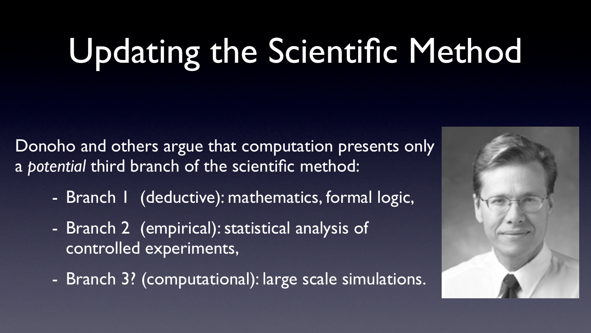## Updating the Scientific Method

Donoho and others argue that computation presents only a *potential* third branch of the scientific method: - Branch 1 (deductive): mathematics, formal logic, - Branch 2 (empirical): statistical analysis of

- 
- controlled experiments,
- Branch 3? (computational): large scale simulations.

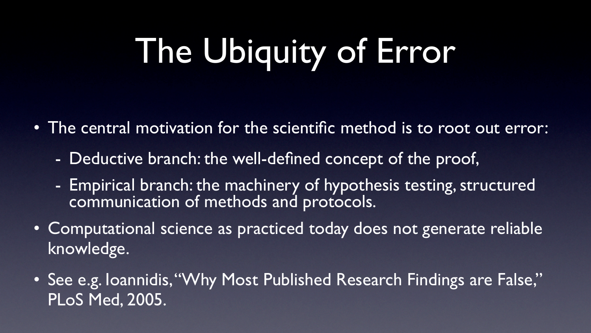## The Ubiquity of Error

- The central motivation for the scientific method is to root out error:
	- Deductive branch: the well-defined concept of the proof,
	- Empirical branch: the machinery of hypothesis testing, structured communication of methods and protocols.
- Computational science as practiced today does not generate reliable knowledge.
- See e.g. Ioannidis, "Why Most Published Research Findings are False," PLoS Med, 2005.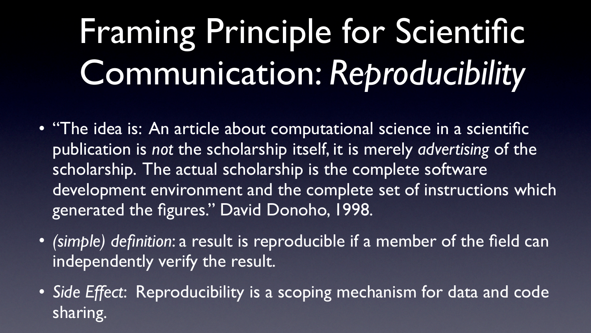### Framing Principle for Scientific Communication: *Reproducibility*

• "The idea is: An article about computational science in a scientific publication is *not* the scholarship itself, it is merely *advertising* of the development environment and the complete set of instructions which

- scholarship. The actual scholarship is the complete software generated the figures." David Donoho, 1998.
- independently verify the result.
- sharing.

• *(simple) definition*: a result is reproducible if a member of the field can

• *Side Effect*: Reproducibility is a scoping mechanism for data and code

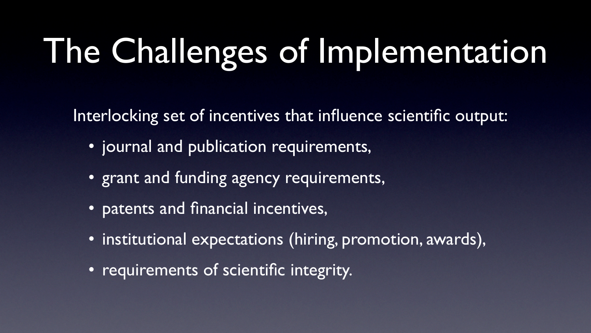### The Challenges of Implementation

- Interlocking set of incentives that influence scientific output: • journal and publication requirements,
- - grant and funding agency requirements,
	- patents and financial incentives,
	- institutional expectations (hiring, promotion, awards),
	- requirements of scientific integrity.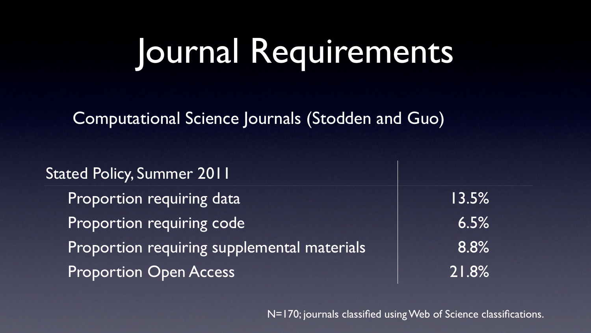## Journal Requirements

Stated Policy, Summer 2011 Proportion requiring data 13.5% Proportion requiring code 6.5% Proportion requiring supplemental materials 1998-1999 Proportion Open Access 21.8%

### Computational Science Journals (Stodden and Guo)

N=170; journals classified using Web of Science classifications.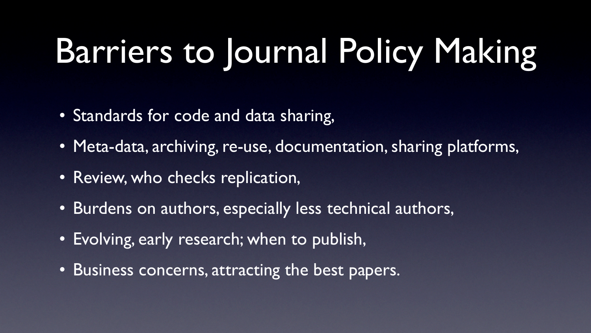## Barriers to Journal Policy Making

- Standards for code and data sharing,
- Meta-data, archiving, re-use, documentation, sharing platforms,
- Review, who checks replication,
- Burdens on authors, especially less technical authors,
- Evolving, early research; when to publish,
- Business concerns, attracting the best papers.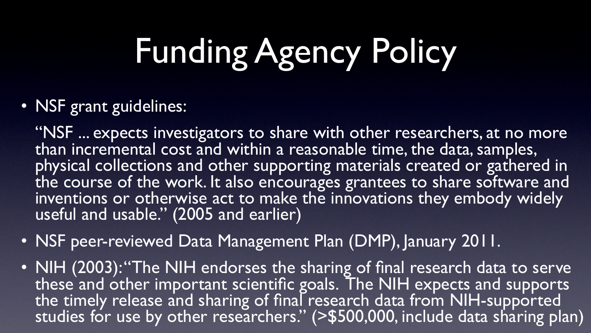# Funding Agency Policy

• NSF grant guidelines:

"NSF ... expects investigators to share with other researchers, at no more than incremental cost and within a reasonable time, the data, samples, physical collections and other supporting materials created or gathered in the course of the work. It also encourages grantees to share software and inventions or otherwise act to make the innovations they embody widely useful and usable." (2005 and earlier)

• NIH (2003): "The NIH endorses the sharing of final research data to serve these and other important scientific goals. The NIH expects and supports the timely release and sharing of final research data from NIH-supported studies for use by other researchers." (>\$500,000, include data sharing plan)



- NSF peer-reviewed Data Management Plan (DMP), January 2011.
-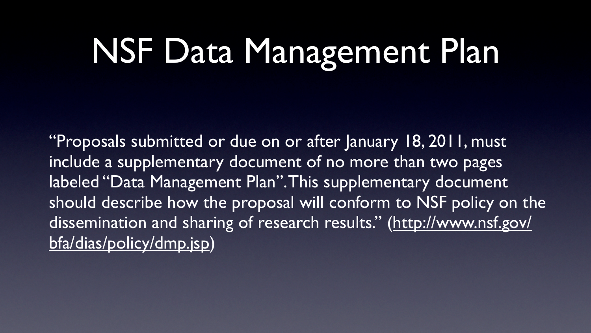## NSF Data Management Plan

"Proposals submitted or due on or after January 18, 2011, must include a supplementary document of no more than two pages labeled "Data Management Plan". This supplementary document should describe how the proposal will conform to NSF policy on the dissemination and sharing of research results." [\(http://www.nsf.gov/](http://www.nsf.gov/bfa/dias/policy/dmp.jsp) [bfa/dias/policy/dmp.jsp](http://www.nsf.gov/bfa/dias/policy/dmp.jsp))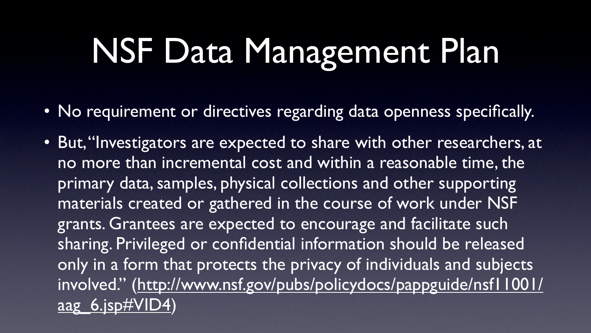# NSF Data Management Plan

• But, "Investigators are expected to share with other researchers, at no more than incremental cost and within a reasonable time, the primary data, samples, physical collections and other supporting materials created or gathered in the course of work under NSF grants. Grantees are expected to encourage and facilitate such sharing. Privileged or confidential information should be released only in a form that protects the privacy of individuals and subjects involved." [\(http://www.nsf.gov/pubs/policydocs/pappguide/nsf11001/](http://www.nsf.gov/pubs/policydocs/pappguide/nsf11001/aag_6.jsp#VID4)

- 
- [aag\\_6.jsp#VID4\)](http://www.nsf.gov/pubs/policydocs/pappguide/nsf11001/aag_6.jsp#VID4)

• No requirement or directives regarding data openness specifically.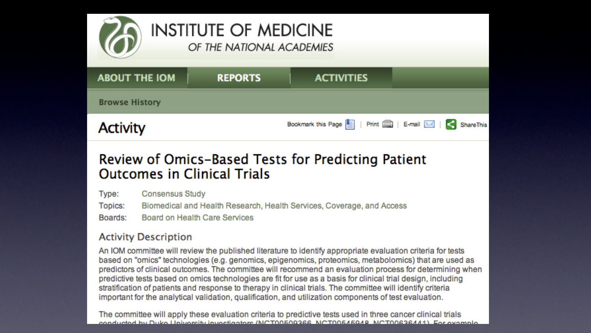

### INSTITUTE OF MEDICINE OF THE NATIONAL ACADEMIES

### **ABOUT THE IOM**

**REPORTS** 

**Browse History** 

### **Activity**

### Review of Omics-Based Tests for Predicting Patient **Outcomes in Clinical Trials**

| Type:   | <b>Consensus Study</b>                     |
|---------|--------------------------------------------|
| Topics: | <b>Biomedical and Health Research, Hea</b> |
| Boards: | Board on Health Care Services              |

### **Activity Description**

An IOM committee will review the published literature to identify appropriate evaluation criteria for tests based on "omics" technologies (e.g. genomics, epigenomics, proteomics, metabolomics) that are used as predictors of clinical outcomes. The committee will recommend an evaluation process for determining when predictive tests based on omics technologies are fit for use as a basis for clinical trial design, including stratification of patients and response to therapy in clinical trials. The committee will identify criteria important for the analytical validation, qualification, and utilization components of test evaluation.

The committee will apply these evaluation criteria to predictive tests used in three cancer clinical trials conducted by Duke University investigators (NCT00509366 NCT00545948 NCT00636441) For example

### **ACTIVITIES**

Bookmark this Page | | Print | | | E-mail | | | | | | |

alth Services, Coverage, and Access

**ShareThis**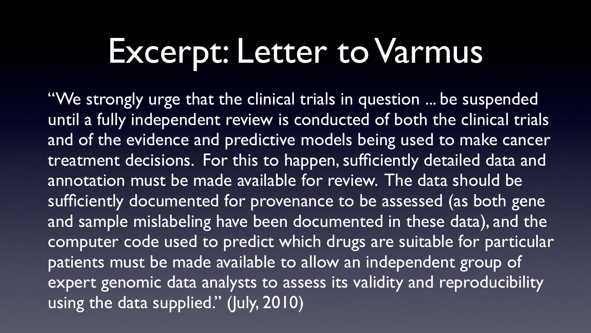Excerpt: Letter to Varmus "We strongly urge that the clinical trials in question ... be suspended until a fully independent review is conducted of both the clinical trials and of the evidence and predictive models being used to make cancer treatment decisions. For this to happen, sufficiently detailed data and annotation must be made available for review. The data should be sufficiently documented for provenance to be assessed (as both gene and sample mislabeling have been documented in these data), and the computer code used to predict which drugs are suitable for particular patients must be made available to allow an independent group of expert genomic data analysts to assess its validity and reproducibility using the data supplied." (July, 2010)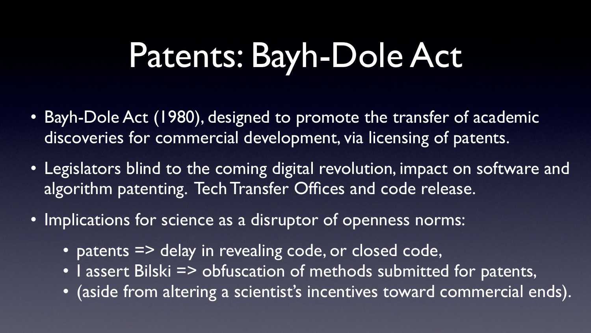### Patents: Bayh-Dole Act

- Bayh-Dole Act (1980), designed to promote the transfer of academic discoveries for commercial development, via licensing of patents.
- Legislators blind to the coming digital revolution, impact on software and algorithm patenting. Tech Transfer Offices and code release.
- Implications for science as a disruptor of openness norms:
	-
	-
	- patents => delay in revealing code, or closed code, • I assert Bilski => obfuscation of methods submitted for patents, • (aside from altering a scientist's incentives toward commercial ends).



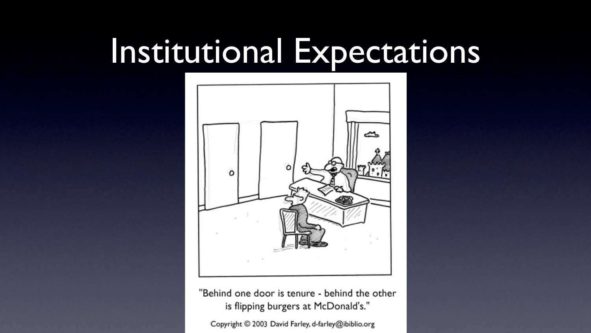### Institutional Expectations



"Behind one door is tenure - behind the other is flipping burgers at McDonald's."

Copyright © 2003 David Farley, d-farley@ibiblio.org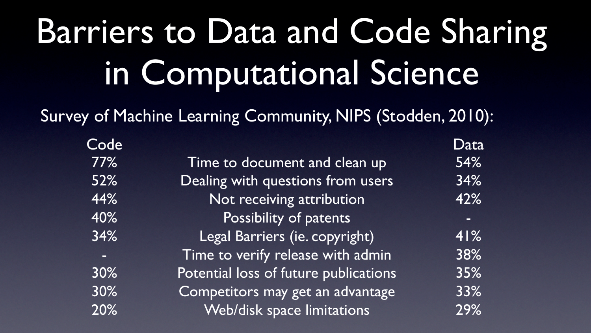# Barriers to Data and Code Sharing in Computational Science

Survey of Machine Learning Community, NIPS (Stodden, 2010):

| Code |                                       | Data       |
|------|---------------------------------------|------------|
| 77%  | Time to document and clean up         | 54%        |
| 52%  | Dealing with questions from users     | 34%        |
| 44%  | Not receiving attribution             | 42%        |
| 40%  | Possibility of patents                | <b>COL</b> |
| 34%  | Legal Barriers (ie. copyright)        | 41%        |
| ۳    | Time to verify release with admin     | 38%        |
| 30%  | Potential loss of future publications | 35%        |
| 30%  | Competitors may get an advantage      | 33%        |
| 20%  | Web/disk space limitations            | 29%        |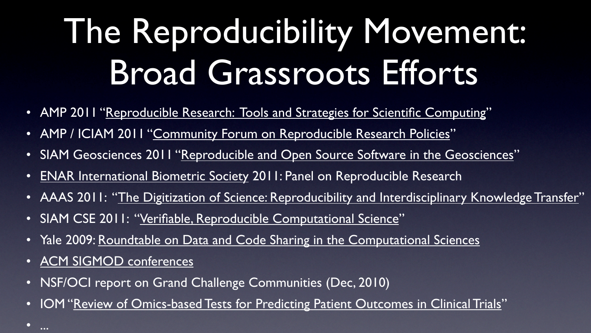### The Reproducibility Movement: Broad Grassroots Efforts

- AMP 2011 ["Reproducible Research: Tools and Strategies for Scientific Computing"](http://www.mitacs.ca/events/index.php?option=com_content&view=article&id=214&Itemid=230&lang=en)
- AMP / ICIAM 2011 ["Community Forum on Reproducible Research Policies"](http://kingkong.amath.washington.edu/rrforum/)
- SIAM Geosciences 2011 ["Reproducible and Open Source Software in the Geosciences"](http://meetings.siam.org/sess/dsp_programsess.cfm?SESSIONCODE=11823)
- [ENAR International Biometric Society](http://www.enar.org/meetings.cfm) 2011: Panel on Reproducible Research
- AAAS 2011: ["The Digitization of Science: Reproducibility and Interdisciplinary Knowledge Transfer"](http://stanford.edu/~vcs/AAAS2011/)
- SIAM CSE 2011: ["Verifiable, Reproducible Computational Science"](http://meetings.siam.org/sess/dsp_programsess.cfm?SESSIONCODE=11844)
- Yale 2009: [Roundtable on Data and Code Sharing in the Computational Sciences](http://www.stanford.edu/~vcs/Conferences/RoundtableNov212009/)
- [ACM SIGMOD conferences](http://www.sigmod2010.org/calls_papers_sigmod_research_repeatability.shtml)

- NSF/OCI report on Grand Challenge Communities (Dec, 2010)
- IOM ["Review of Omics-based Tests for Predicting Patient Outcomes in Clinical Trials"](http://www.iom.edu/Activities/Research/OmicsBasedTests.aspx)



•

...